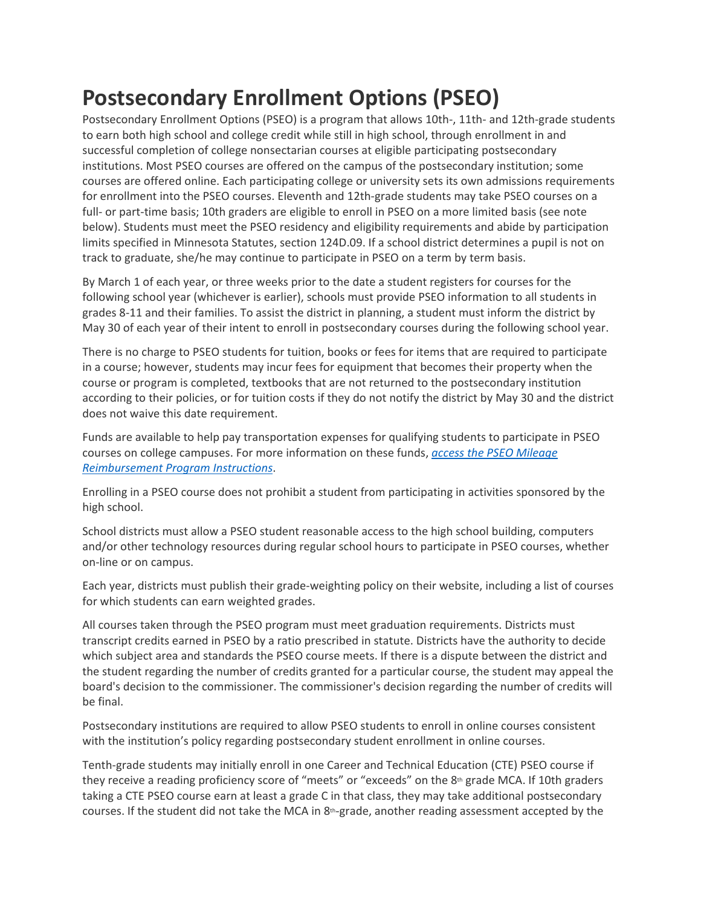## **Postsecondary Enrollment Options (PSEO)**

Postsecondary Enrollment Options (PSEO) is a program that allows 10th-, 11th- and 12th-grade students to earn both high school and college credit while still in high school, through enrollment in and successful completion of college nonsectarian courses at eligible participating postsecondary institutions. Most PSEO courses are offered on the campus of the postsecondary institution; some courses are offered online. Each participating college or university sets its own admissions requirements for enrollment into the PSEO courses. Eleventh and 12th-grade students may take PSEO courses on a full- or part-time basis; 10th graders are eligible to enroll in PSEO on a more limited basis (see note below). Students must meet the PSEO residency and eligibility requirements and abide by participation limits specified in Minnesota Statutes, section 124D.09. If a school district determines a pupil is not on track to graduate, she/he may continue to participate in PSEO on a term by term basis.

By March 1 of each year, or three weeks prior to the date a student registers for courses for the following school year (whichever is earlier), schools must provide PSEO information to all students in grades 8-11 and their families. To assist the district in planning, a student must inform the district by May 30 of each year of their intent to enroll in postsecondary courses during the following school year.

There is no charge to PSEO students for tuition, books or fees for items that are required to participate in a course; however, students may incur fees for equipment that becomes their property when the course or program is completed, textbooks that are not returned to the postsecondary institution according to their policies, or for tuition costs if they do not notify the district by May 30 and the district does not waive this date requirement.

Funds are available to help pay transportation expenses for qualifying students to participate in PSEO courses on college campuses. For more information on these funds, *[access the PSEO Mileage](https://education.mn.gov/MDE/dse/schfin/Trans/rep/005668)  [Reimbursement Program Instructions](https://education.mn.gov/MDE/dse/schfin/Trans/rep/005668)*.

Enrolling in a PSEO course does not prohibit a student from participating in activities sponsored by the high school.

School districts must allow a PSEO student reasonable access to the high school building, computers and/or other technology resources during regular school hours to participate in PSEO courses, whether on-line or on campus.

Each year, districts must publish their grade-weighting policy on their website, including a list of courses for which students can earn weighted grades.

All courses taken through the PSEO program must meet graduation requirements. Districts must transcript credits earned in PSEO by a ratio prescribed in statute. Districts have the authority to decide which subject area and standards the PSEO course meets. If there is a dispute between the district and the student regarding the number of credits granted for a particular course, the student may appeal the board's decision to the commissioner. The commissioner's decision regarding the number of credits will be final.

Postsecondary institutions are required to allow PSEO students to enroll in online courses consistent with the institution's policy regarding postsecondary student enrollment in online courses.

Tenth-grade students may initially enroll in one Career and Technical Education (CTE) PSEO course if they receive a reading proficiency score of "meets" or "exceeds" on the 8<sup>th</sup> grade MCA. If 10th graders taking a CTE PSEO course earn at least a grade C in that class, they may take additional postsecondary courses. If the student did not take the MCA in 8<sup>th</sup>-grade, another reading assessment accepted by the